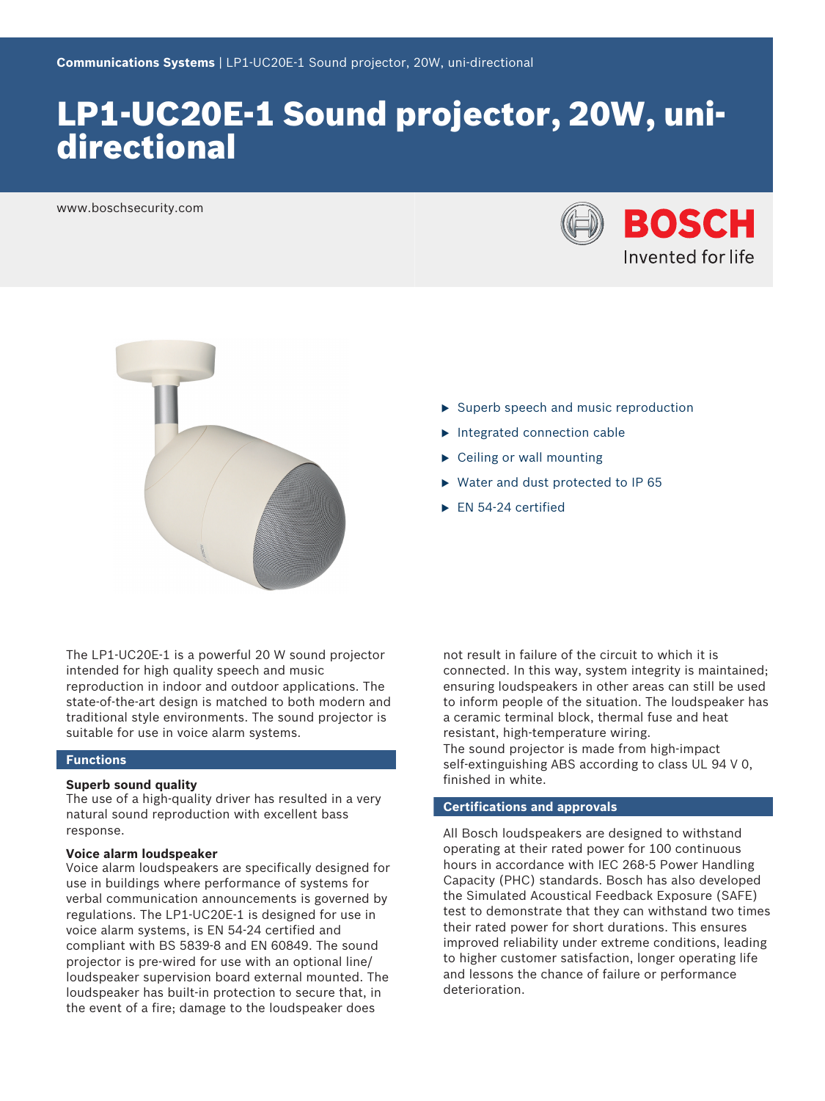# LP1-UC20E-1 Sound projector, 20W, unidirectional

www.boschsecurity.com





- $\triangleright$  Superb speech and music reproduction
- $\blacktriangleright$  Integrated connection cable
- $\triangleright$  Ceiling or wall mounting
- $\triangleright$  Water and dust protected to IP 65
- $\blacktriangleright$  EN 54-24 certified

The LP1-UC20E-1 is a powerful 20 W sound projector intended for high quality speech and music reproduction in indoor and outdoor applications. The state-of-the-art design is matched to both modern and traditional style environments. The sound projector is suitable for use in voice alarm systems.

### **Functions**

### **Superb sound quality**

The use of a high-quality driver has resulted in a very natural sound reproduction with excellent bass response.

### **Voice alarm loudspeaker**

Voice alarm loudspeakers are specifically designed for use in buildings where performance of systems for verbal communication announcements is governed by regulations. The LP1‑UC20E‑1 is designed for use in voice alarm systems, is EN 54‑24 certified and compliant with BS 5839‑8 and EN 60849. The sound projector is pre‑wired for use with an optional line/ loudspeaker supervision board external mounted. The loudspeaker has built-in protection to secure that, in the event of a fire; damage to the loudspeaker does

not result in failure of the circuit to which it is connected. In this way, system integrity is maintained; ensuring loudspeakers in other areas can still be used to inform people of the situation. The loudspeaker has a ceramic terminal block, thermal fuse and heat resistant, high-temperature wiring. The sound projector is made from high-impact self-extinguishing ABS according to class UL 94 V 0, finished in white.

## **Certifications and approvals**

All Bosch loudspeakers are designed to withstand operating at their rated power for 100 continuous hours in accordance with IEC 268‑5 Power Handling Capacity (PHC) standards. Bosch has also developed the Simulated Acoustical Feedback Exposure (SAFE) test to demonstrate that they can withstand two times their rated power for short durations. This ensures improved reliability under extreme conditions, leading to higher customer satisfaction, longer operating life and lessons the chance of failure or performance deterioration.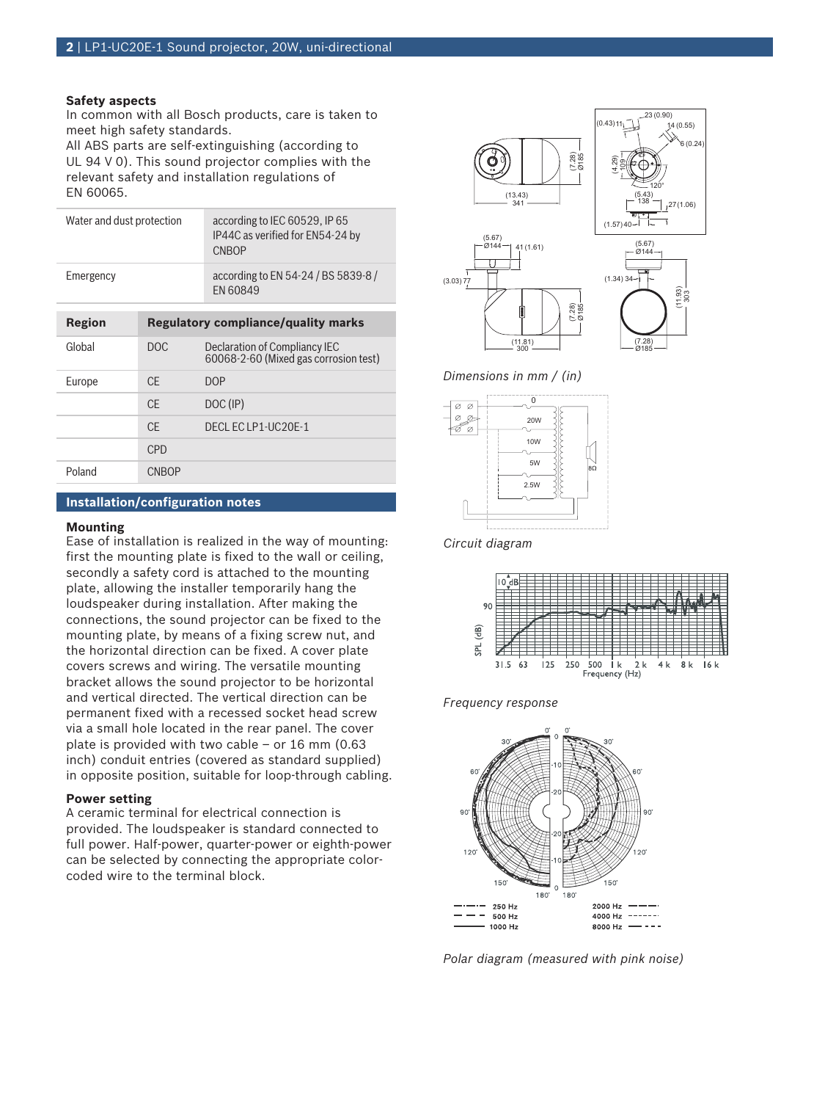### **Safety aspects**

In common with all Bosch products, care is taken to meet high safety standards.

All ABS parts are self‑extinguishing (according to UL 94 V 0). This sound projector complies with the relevant safety and installation regulations of EN 60065.

| Region                    |  | <b>Regulatory compliance/quality marks</b>                                 |
|---------------------------|--|----------------------------------------------------------------------------|
| Emergency                 |  | according to EN 54-24 / BS 5839-8 /<br>FN 60849                            |
| Water and dust protection |  | according to IEC 60529, IP 65<br>IP44C as verified for EN54-24 by<br>CNBOP |

| . . <del>.</del> |              |                                                                        |
|------------------|--------------|------------------------------------------------------------------------|
| Global           | DOC          | Declaration of Compliancy IEC<br>60068-2-60 (Mixed gas corrosion test) |
| Europe           | <b>CE</b>    | DOP                                                                    |
|                  | <b>CE</b>    | DOC (IP)                                                               |
|                  | <b>CE</b>    | DECLECLP1-UC20E-1                                                      |
|                  | <b>CPD</b>   |                                                                        |
| Poland           | <b>CNBOP</b> |                                                                        |

### **Installation/configuration notes**

### **Mounting**

Ease of installation is realized in the way of mounting: first the mounting plate is fixed to the wall or ceiling, secondly a safety cord is attached to the mounting plate, allowing the installer temporarily hang the loudspeaker during installation. After making the connections, the sound projector can be fixed to the mounting plate, by means of a fixing screw nut, and the horizontal direction can be fixed. A cover plate covers screws and wiring. The versatile mounting bracket allows the sound projector to be horizontal and vertical directed. The vertical direction can be permanent fixed with a recessed socket head screw via a small hole located in the rear panel. The cover plate is provided with two cable – or 16 mm (0.63 inch) conduit entries (covered as standard supplied) in opposite position, suitable for loop-through cabling.

### **Power setting**

A ceramic terminal for electrical connection is provided. The loudspeaker is standard connected to full power. Half-power, quarter-power or eighth-power can be selected by connecting the appropriate colorcoded wire to the terminal block.



*Dimensions in mm / (in)*



*Circuit diagram*







*Polar diagram (measured with pink noise)*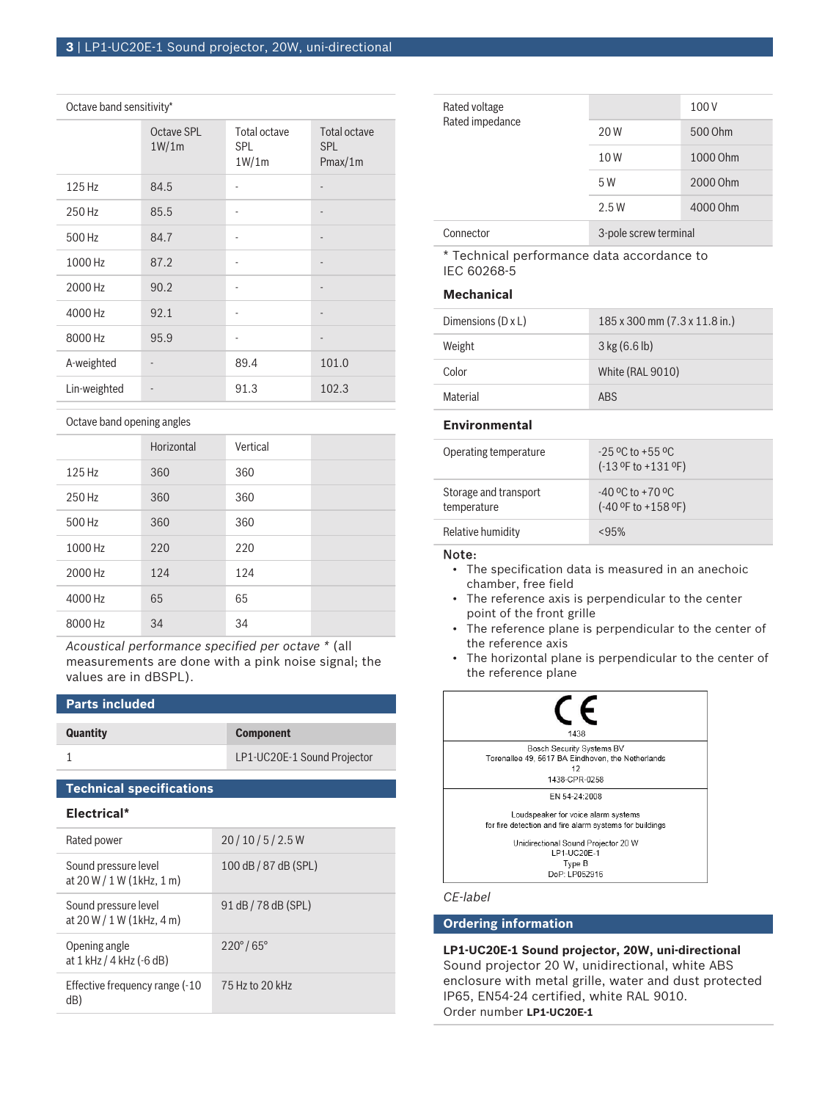### Octave band sensitivity\*

|              | Octave SPL<br>1W/1m | Total octave<br>SPL.<br>1W/1m | Total octave<br><b>SPL</b><br>Pmax/1m |
|--------------|---------------------|-------------------------------|---------------------------------------|
| 125 Hz       | 84.5                |                               |                                       |
| 250 Hz       | 85.5                |                               | $\overline{a}$                        |
| 500 Hz       | 84.7                |                               | $\overline{a}$                        |
| 1000 Hz      | 87.2                |                               |                                       |
| 2000 Hz      | 90.2                |                               | -                                     |
| 4000 Hz      | 92.1                |                               | -                                     |
| 8000 Hz      | 95.9                |                               | $\overline{\phantom{m}}$              |
| A-weighted   |                     | 89.4                          | 101.0                                 |
| Lin-weighted |                     | 91.3                          | 102.3                                 |

Octave band opening angles

|         | Horizontal | Vertical |  |
|---------|------------|----------|--|
| 125 Hz  | 360        | 360      |  |
| 250 Hz  | 360        | 360      |  |
| 500 Hz  | 360        | 360      |  |
| 1000 Hz | 220        | 220      |  |
| 2000 Hz | 124        | 124      |  |
| 4000 Hz | 65         | 65       |  |
| 8000 Hz | 34         | 34       |  |

*Acoustical performance specified per octave \** (all measurements are done with a pink noise signal; the values are in dBSPL).

### **Parts included**

## **Quantity Component**

1 LP1-UC20E-1 Sound Projector

### **Technical specifications**

### **Electrical\***

| Rated power                                          | 20/10/5/2.5W             |
|------------------------------------------------------|--------------------------|
| Sound pressure level<br>at $20 W / 1 W (1 kHz, 1 m)$ | 100 dB / 87 dB (SPL)     |
| Sound pressure level<br>at $20 W / 1 W (1 kHz, 4 m)$ | 91 dB / 78 dB (SPL)      |
| Opening angle<br>at 1 kHz / 4 kHz (-6 dB)            | $220^{\circ}/65^{\circ}$ |
| Effective frequency range (-10<br>dB)                | 75 Hz to 20 kHz          |

| Rated voltage<br>Rated impedance |                       | 100 V    |
|----------------------------------|-----------------------|----------|
|                                  | 20 W                  | 500 Ohm  |
|                                  | 10W                   | 1000 Ohm |
|                                  | 5 W                   | 2000 Ohm |
|                                  | 2.5W                  | 4000 Ohm |
| Connector                        | 3-pole screw terminal |          |

\* Technical performance data accordance to IEC 60268-5

### **Mechanical**

| Dimensions $(D \times L)$ | 185 x 300 mm (7.3 x 11.8 in.) |
|---------------------------|-------------------------------|
| Weight                    | $3$ kg (6.6 lb)               |
| Color                     | White (RAL 9010)              |
| Material                  | <b>ARS</b>                    |

### **Environmental**

| Operating temperature                | $-25$ °C to $+55$ °C<br>$(-13$ °F to $+131$ °F)  |
|--------------------------------------|--------------------------------------------------|
| Storage and transport<br>temperature | $-40$ °C to $+70$ °C<br>$(-40 °F)$ to $+158 °F)$ |
| Relative humidity                    | <95%                                             |

### Note:

- The specification data is measured in an anechoic chamber, free field
- The reference axis is perpendicular to the center point of the front grille
- The reference plane is perpendicular to the center of the reference axis
- The horizontal plane is perpendicular to the center of the reference plane



### **Ordering information**

**LP1-UC20E-1 Sound projector, 20W, uni-directional** Sound projector 20 W, unidirectional, white ABS enclosure with metal grille, water and dust protected IP65, EN54-24 certified, white RAL 9010. Order number **LP1-UC20E-1**